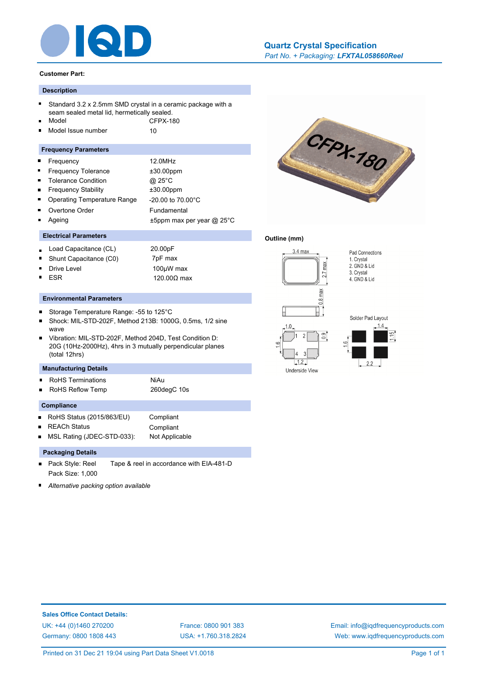

#### **Customer Part:**

# **Description**

- Standard 3.2 x 2.5mm SMD crystal in a ceramic package with a seam sealed metal lid, hermetically sealed.
- Model CFPX-180
- Model Issue number 10 ř.

#### **Frequency Parameters**

- Frequency 12.0MHz Ē  $\blacksquare$ Frequency Tolerance  $\pm 30.00$ ppm  $\blacksquare$ Tolerance Condition @ 25°C Frequency Stability ±30.00ppm É
- Operating Temperature Range -20.00 to 70.00°C
- Overtone Order Fundamental Ageing t5ppm max per year @ 25°C

# **Electrical Parameters**

- Load Capacitance (CL) 20.00pF
- Shunt Capacitance (C0) 7pF max
- Drive Level 2000 100µW max ESR 120.00Ω max
- 

#### **Environmental Parameters**

- $\blacksquare$ Storage Temperature Range: -55 to 125°C
- Shock: MIL-STD-202F, Method 213B: 1000G, 0.5ms, 1/2 sine wave
- Vibration: MIL-STD-202F, Method 204D, Test Condition D: 20G (10Hz-2000Hz), 4hrs in 3 mutually perpendicular planes (total 12hrs)

# **Manufacturing Details**

- RoHS Terminations **NiAu**
- RoHS Reflow Temp 260degC 10s

#### **Compliance**

- RoHS Status (2015/863/EU) Compliant
- REACh Status Compliant

MSL Rating (JDEC-STD-033): Not Applicable

#### **Packaging Details**

- Pack Style: Reel Tape & reel in accordance with EIA-481-D Pack Size: 1,000
- *Alternative packing option available*

# *Part No. + Packaging: LFXTAL058660Reel* **[Quartz Crystal Specification](http://www.iqdfrequencyproducts.com/products/search/?type=tcxo-tcvcxo&model=All&product-features=All&package=All&frequency=All&frequency-uom=MHz&frequency-stability=All&temperature-range=All&output=All&voltage=All)**



#### **Outline (mm)**





 $\begin{array}{ccc} \end{array}$  2.2



**Sales Office Contact Details:** [UK: +44 \(0\)1460 270200](http://www.iqdfrequencyproducts.co.uk) [France: 0800 901 383](http://www.iqdfrequencyproducts.fr) [Germany: 0800 1808 443](http://www.iqdfrequencyproducts.de)

[USA: +1.760.318.2824](http://www.iqdfrequencyproducts.com)

[Email: info@iqdfrequencyproducts.com](mailto:info@iqdfrequencyproducts.com) [Web: www.iqdfrequencyproducts.com](http://www.iqdfrequencyproducts.com)